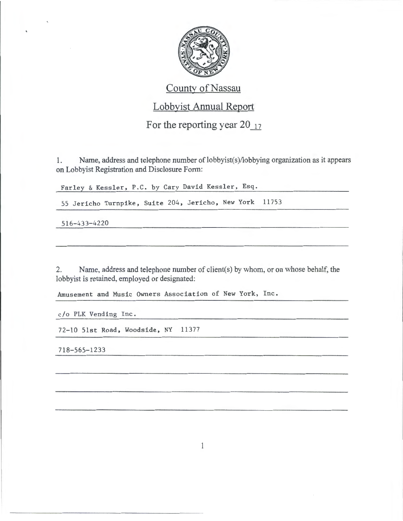

## County of Nassau

## Lobbyist Annual Report

For the reporting year  $20_{17}$ 

1. Name, address and telephone number of lobbyist(s)/lobbying organization as it appears on Lobbyist Registration and Disclosure Form:

Farley & Kessler, P.C. by Cary David Kessler, Esq.

55 Jericho Turnpike, Suite 204, Jericho, New York 11753

516-433-4220

2. Name, address and telephone number of client(s) by whom, or on whose behalf, the lobbyist is retained, employed or designated:

Amusement and Music Owners Association of New York, Inc.

c/o PLK Vending Inc.

72-10 51st Road, Woodside, NY 11377

718-565-1233

 $\mathbf{1}$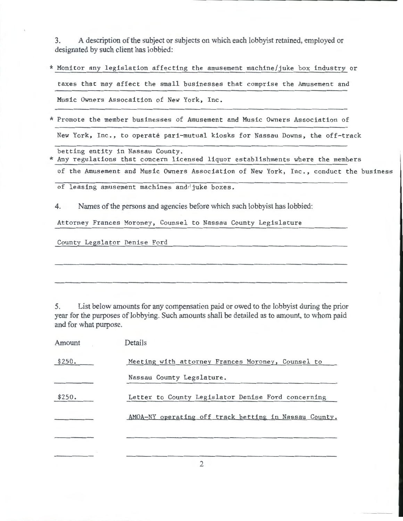3. A description of the subject or subjects on which each lobbyist retained, employed or designated by such client has lobbied:

- \* Monitor any legislation affecting the amusement machine/juke box industry or taxes that may affect the small businesses that comprise the Amusement and Music Owners Assocaition of New York, Inc.
- \* Promote the member businesses of Amusement and Music Owners Association of New York, Inc., to operate pari-mutual kiosks for Nassau Downs, the off-track
- betting entity in Nassau County. \* Any regulations that concern licensed liquor establishments where the members of the Amusement and Music Owners Association of New York, Inc., conduct the business

of leasing amusement machines and juke boxes.

4. Names of the persons and agencies before which such lobbyist has lobbied:

Attorney Frances Moroney, Counsel to Nassau County Legislature

County Legslator Denise Ford

5. List below amounts for any compensation paid or owed to the lobbyist during the prior year for the purposes of lobbying. Such amounts shall be detailed as to amount, to whom paid and for what purpose.

| Amount | Details                                               |
|--------|-------------------------------------------------------|
| \$250. | Meeting with attorney Frances Moroney, Counsel to     |
|        | Nassau County Legslature.                             |
| \$250. | Letter to County Legislator Denise Ford concerning    |
|        | AMOA-NY operating off track betting in Nassau County. |
|        |                                                       |
|        |                                                       |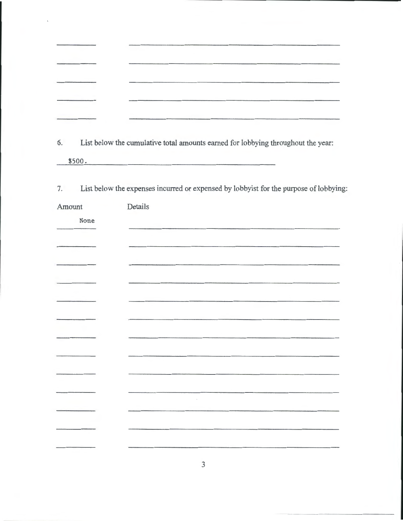| 6. |  | List below the cumulative total amounts earned for lobbying throughout the year: |  |
|----|--|----------------------------------------------------------------------------------|--|
|    |  |                                                                                  |  |

\$500.

 $\bar{\mathbf{v}}$ 

7. List below the expenses incurred or expensed by lobbyist for the purpose of lobbying:

| Amount | Details |
|--------|---------|
| None   |         |
|        |         |
|        |         |
|        |         |
|        |         |
|        |         |
|        |         |
|        |         |
|        |         |
|        |         |
|        |         |
|        |         |
|        |         |
|        |         |